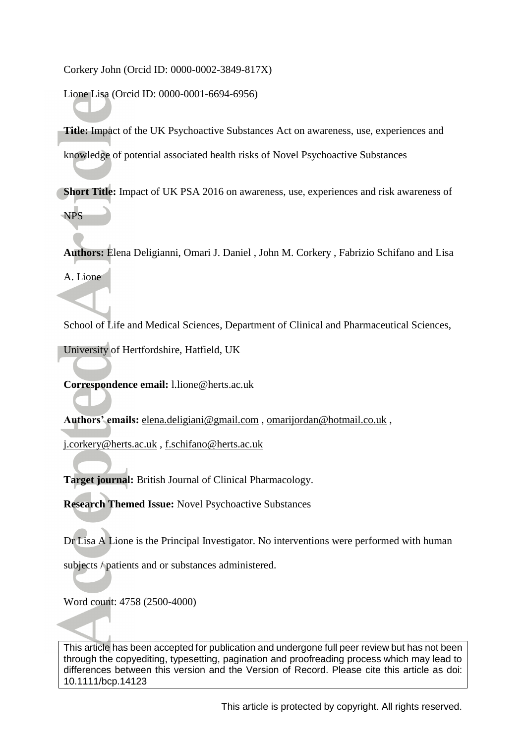Corkery John (Orcid ID: 0000-0002-3849-817X)

Lione Lisa (Orcid ID: 0000-0001-6694-6956)

**Title:** Impact of the UK Psychoactive Substances Act on awareness, use, experiences and knowledge of potential associated health risks of Novel Psychoactive Substances

**Short Title:** Impact of UK PSA 2016 on awareness, use, experiences and risk awareness of NPS

**Authors:** Elena Deligianni, Omari J. Daniel , John M. Corkery , Fabrizio Schifano and Lisa

A. Lione

School of Life and Medical Sciences, Department of Clinical and Pharmaceutical Sciences,

University of Hertfordshire, Hatfield, UK

**Correspondence email:** l.lione@herts.ac.uk

**Authors' emails:** [elena.deligiani@gmail.com](mailto:elena.deligiani@gmail.com) , [omarijordan@hotmail.co.uk](mailto:omarijordan@hotmail.co.uk) ,

[j.corkery@herts.ac.uk](mailto:j.corkery@herts.ac.uk) , [f.schifano@herts.ac.uk](mailto:f.schifano@herts.ac.uk)

**Target journal:** British Journal of Clinical Pharmacology.

**Research Themed Issue:** Novel Psychoactive Substances

Dr Lisa A Lione is the Principal Investigator. No interventions were performed with human

subjects  $\land$  patients and or substances administered.

Word count: 4758 (2500-4000)

This article has been accepted for publication and undergone full peer review but has not been through the copyediting, typesetting, pagination and proofreading process which may lead to differences between this version and the Version of Record. Please cite this article as doi: 10.1111/bcp.14123

This article is protected by copyright. All rights reserved.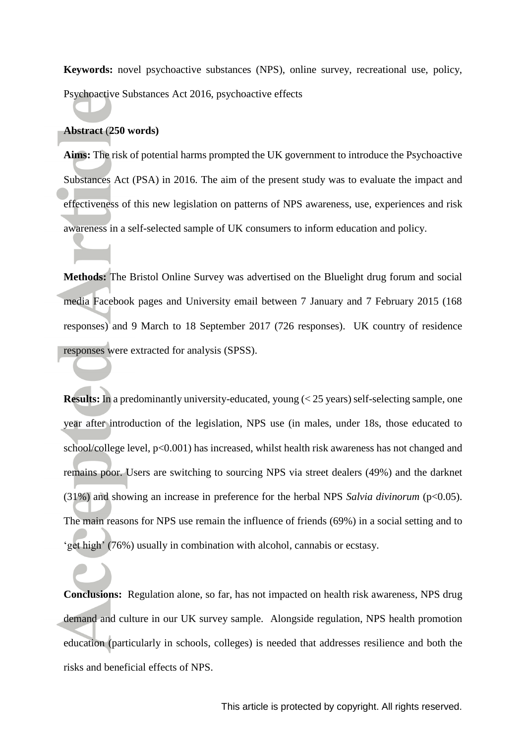**Keywords:** novel psychoactive substances (NPS), online survey, recreational use, policy, Psychoactive Substances Act 2016, psychoactive effects

#### **Abstract** (**250 words)**

**Aims:** The risk of potential harms prompted the UK government to introduce the Psychoactive Substances Act (PSA) in 2016. The aim of the present study was to evaluate the impact and effectiveness of this new legislation on patterns of NPS awareness, use, experiences and risk awareness in a self-selected sample of UK consumers to inform education and policy.

**Methods:** The Bristol Online Survey was advertised on the Bluelight drug forum and social media Facebook pages and University email between 7 January and 7 February 2015 (168 responses) and 9 March to 18 September 2017 (726 responses). UK country of residence responses were extracted for analysis (SPSS).

**Results:** In a predominantly university-educated, young (< 25 years) self-selecting sample, one year after introduction of the legislation, NPS use (in males, under 18s, those educated to school/college level,  $p<0.001$ ) has increased, whilst health risk awareness has not changed and remains poor. Users are switching to sourcing NPS via street dealers (49%) and the darknet (31%) and showing an increase in preference for the herbal NPS *Salvia divinorum* (p<0.05). The main reasons for NPS use remain the influence of friends (69%) in a social setting and to 'get high' (76%) usually in combination with alcohol, cannabis or ecstasy.

**Conclusions:** Regulation alone, so far, has not impacted on health risk awareness, NPS drug demand and culture in our UK survey sample. Alongside regulation, NPS health promotion education (particularly in schools, colleges) is needed that addresses resilience and both the risks and beneficial effects of NPS.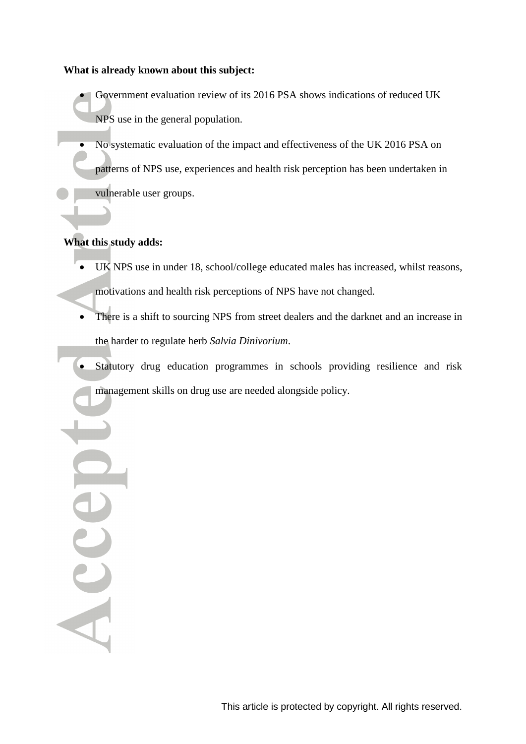#### **What is already known about this subject:**

- Government evaluation review of its 2016 PSA shows indications of reduced UK NPS use in the general population.
- No systematic evaluation of the impact and effectiveness of the UK 2016 PSA on patterns of NPS use, experiences and health risk perception has been undertaken in vulnerable user groups.

# **What this study adds:**

Acce

- UK NPS use in under 18, school/college educated males has increased, whilst reasons, motivations and health risk perceptions of NPS have not changed.
- There is a shift to sourcing NPS from street dealers and the darknet and an increase in the harder to regulate herb *Salvia Dinivorium*.
- Statutory drug education programmes in schools providing resilience and risk management skills on drug use are needed alongside policy.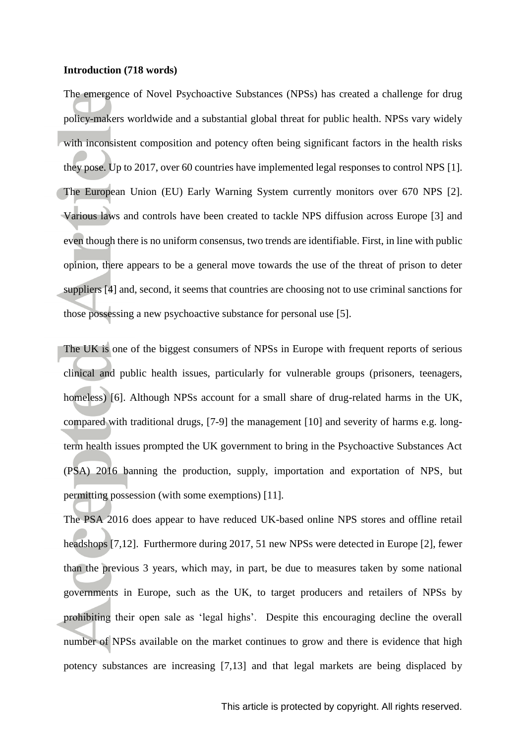#### **Introduction (718 words)**

The emergence of Novel Psychoactive Substances (NPSs) has created a challenge for drug policy-makers worldwide and a substantial global threat for public health. NPSs vary widely with inconsistent composition and potency often being significant factors in the health risks they pose. Up to 2017, over 60 countries have implemented legal responses to control NPS [1]. The European Union (EU) Early Warning System currently monitors over 670 NPS [2]. Various laws and controls have been created to tackle NPS diffusion across Europe [3] and even though there is no uniform consensus, two trends are identifiable. First, in line with public opinion, there appears to be a general move towards the use of the threat of prison to deter suppliers [4] and, second, it seems that countries are choosing not to use criminal sanctions for those possessing a new psychoactive substance for personal use [5].

The UK is one of the biggest consumers of NPSs in Europe with frequent reports of serious clinical and public health issues, particularly for vulnerable groups (prisoners, teenagers, homeless) [6]. Although NPSs account for a small share of drug-related harms in the UK, compared with traditional drugs, [7-9] the management [10] and severity of harms e.g. longterm health issues prompted the UK government to bring in the Psychoactive Substances Act (PSA) 2016 banning the production, supply, importation and exportation of NPS, but permitting possession (with some exemptions) [11].

The PSA 2016 does appear to have reduced UK-based online NPS stores and offline retail headshops [7,12]. Furthermore during 2017, 51 new NPSs were detected in Europe [2], fewer than the previous 3 years, which may, in part, be due to measures taken by some national governments in Europe, such as the UK, to target producers and retailers of NPSs by prohibiting their open sale as 'legal highs'. Despite this encouraging decline the overall number of NPSs available on the market continues to grow and there is evidence that high potency substances are increasing [7,13] and that legal markets are being displaced by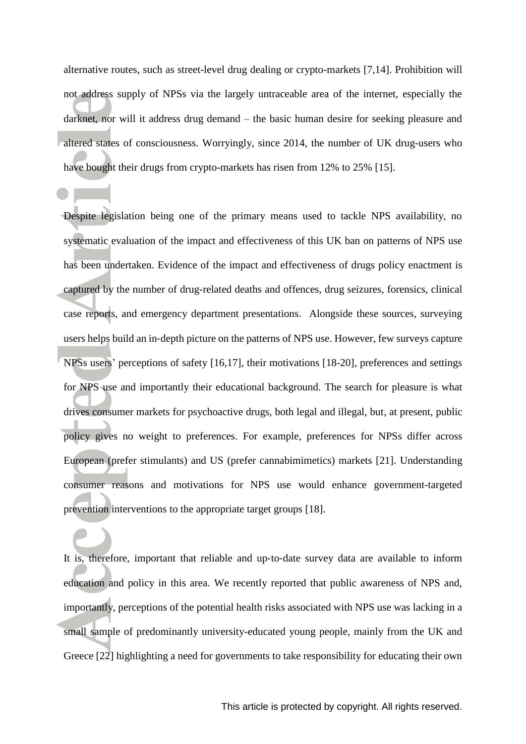alternative routes, such as street-level drug dealing or crypto-markets [7,14]. Prohibition will not address supply of NPSs via the largely untraceable area of the internet, especially the darknet, nor will it address drug demand – the basic human desire for seeking pleasure and altered states of consciousness. Worryingly, since 2014, the number of UK drug-users who have bought their drugs from crypto-markets has risen from 12% to 25% [15].

Despite legislation being one of the primary means used to tackle NPS availability, no systematic evaluation of the impact and effectiveness of this UK ban on patterns of NPS use has been undertaken. Evidence of the impact and effectiveness of drugs policy enactment is captured by the number of drug-related deaths and offences, drug seizures, forensics, clinical case reports, and emergency department presentations. Alongside these sources, surveying users helps build an in‐depth picture on the patterns of NPS use. However, few surveys capture NPSs users' perceptions of safety [16,17], their motivations [18-20], preferences and settings for NPS use and importantly their educational background. The search for pleasure is what drives consumer markets for psychoactive drugs, both legal and illegal, but, at present, public policy gives no weight to preferences. For example, preferences for NPSs differ across European (prefer stimulants) and US (prefer cannabimimetics) markets [21]. Understanding consumer reasons and motivations for NPS use would enhance government-targeted prevention interventions to the appropriate target groups [18].

It is, therefore, important that reliable and up-to-date survey data are available to inform education and policy in this area. We recently reported that public awareness of NPS and, importantly, perceptions of the potential health risks associated with NPS use was lacking in a small sample of predominantly university-educated young people, mainly from the UK and Greece [22] highlighting a need for governments to take responsibility for educating their own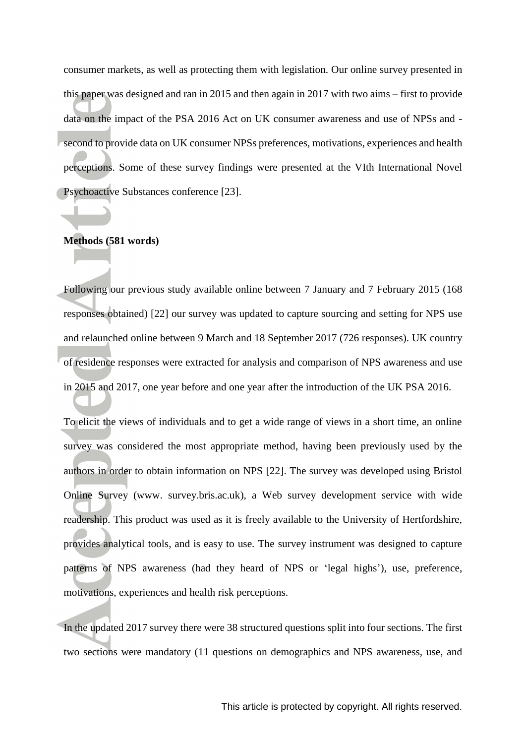consumer markets, as well as protecting them with legislation. Our online survey presented in this paper was designed and ran in 2015 and then again in 2017 with two aims – first to provide data on the impact of the PSA 2016 Act on UK consumer awareness and use of NPSs and second to provide data on UK consumer NPSs preferences, motivations, experiences and health perceptions. Some of these survey findings were presented at the VIth International Novel Psychoactive Substances conference [23].

#### **Methods (581 words)**

Following our previous study available online between 7 January and 7 February 2015 (168 responses obtained) [22] our survey was updated to capture sourcing and setting for NPS use and relaunched online between 9 March and 18 September 2017 (726 responses). UK country of residence responses were extracted for analysis and comparison of NPS awareness and use in 2015 and 2017, one year before and one year after the introduction of the UK PSA 2016.

To elicit the views of individuals and to get a wide range of views in a short time, an online survey was considered the most appropriate method, having been previously used by the authors in order to obtain information on NPS [22]. The survey was developed using Bristol Online Survey (www. survey.bris.ac.uk), a Web survey development service with wide readership. This product was used as it is freely available to the University of Hertfordshire, provides analytical tools, and is easy to use. The survey instrument was designed to capture patterns of NPS awareness (had they heard of NPS or 'legal highs'), use, preference, motivations, experiences and health risk perceptions.

In the updated 2017 survey there were 38 structured questions split into four sections. The first two sections were mandatory (11 questions on demographics and NPS awareness, use, and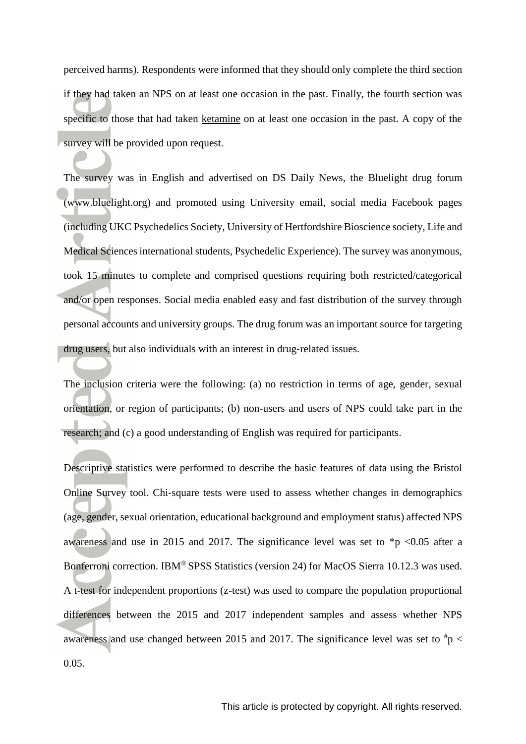perceived harms). Respondents were informed that they should only complete the third section if they had taken an NPS on at least one occasion in the past. Finally, the fourth section was specific to those that had taken [ketamine](https://www.guidetopharmacology.org/GRAC/LigandDisplayForward?ligandId=4233) on at least one occasion in the past. A copy of the survey will be provided upon request.

The survey was in English and advertised on DS Daily News, the Bluelight drug forum (www.bluelight.org) and promoted using University email, social media Facebook pages (including UKC Psychedelics Society, University of Hertfordshire Bioscience society, Life and Medical Sciences international students, Psychedelic Experience). The survey was anonymous, took 15 minutes to complete and comprised questions requiring both restricted/categorical and/or open responses. Social media enabled easy and fast distribution of the survey through personal accounts and university groups. The drug forum was an important source for targeting drug users, but also individuals with an interest in drug‐related issues.

The inclusion criteria were the following: (a) no restriction in terms of age, gender, sexual orientation, or region of participants; (b) non-users and users of NPS could take part in the research; and (c) a good understanding of English was required for participants.

Descriptive statistics were performed to describe the basic features of data using the Bristol Online Survey tool. Chi‐square tests were used to assess whether changes in demographics (age, gender, sexual orientation, educational background and employment status) affected NPS awareness and use in 2015 and 2017. The significance level was set to  $\frac{1}{2}p$  <0.05 after a Bonferroni correction. IBM® SPSS Statistics (version 24) for MacOS Sierra 10.12.3 was used. A t-test for independent proportions (z-test) was used to compare the population proportional differences between the 2015 and 2017 independent samples and assess whether NPS awareness and use changed between 2015 and 2017. The significance level was set to  $\frac{4}{9}$  < 0.05.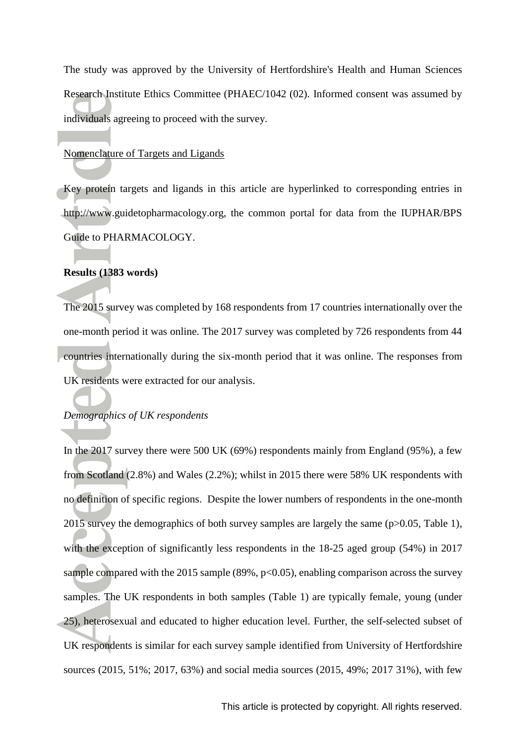The study was approved by the University of Hertfordshire's Health and Human Sciences Research Institute Ethics Committee (PHAEC/1042 (02). Informed consent was assumed by individuals agreeing to proceed with the survey.

#### Nomenclature of Targets and Ligands

Key protein targets and ligands in this article are hyperlinked to corresponding entries in http://www.guidetopharmacology.org, the common portal for data from the IUPHAR/BPS Guide to PHARMACOLOGY.

#### **Results (1383 words)**

The 2015 survey was completed by 168 respondents from 17 countries internationally over the one-month period it was online. The 2017 survey was completed by 726 respondents from 44 countries internationally during the six-month period that it was online. The responses from UK residents were extracted for our analysis.

#### *Demographics of UK respondents*

In the 2017 survey there were 500 UK (69%) respondents mainly from England (95%), a few from Scotland (2.8%) and Wales (2.2%); whilst in 2015 there were 58% UK respondents with no definition of specific regions. Despite the lower numbers of respondents in the one-month 2015 survey the demographics of both survey samples are largely the same (p>0.05, Table 1), with the exception of significantly less respondents in the 18-25 aged group (54%) in 2017 sample compared with the 2015 sample (89%,  $p<0.05$ ), enabling comparison across the survey samples. The UK respondents in both samples (Table 1) are typically female, young (under 25), heterosexual and educated to higher education level. Further, the self-selected subset of UK respondents is similar for each survey sample identified from University of Hertfordshire sources (2015, 51%; 2017, 63%) and social media sources (2015, 49%; 2017 31%), with few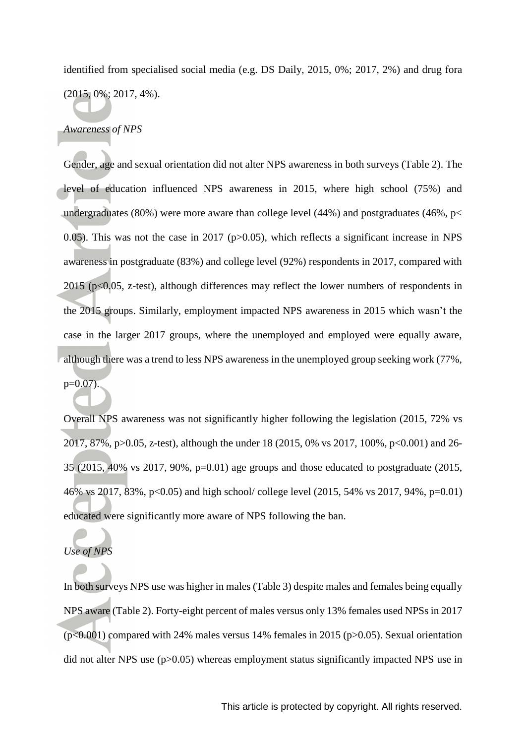identified from specialised social media (e.g. DS Daily, 2015, 0%; 2017, 2%) and drug fora (2015, 0%; 2017, 4%).

#### *Awareness of NPS*

Gender, age and sexual orientation did not alter NPS awareness in both surveys (Table 2). The level of education influenced NPS awareness in 2015, where high school (75%) and undergraduates (80%) were more aware than college level (44%) and postgraduates (46%,  $p$  < 0.05). This was not the case in 2017 ( $p > 0.05$ ), which reflects a significant increase in NPS awareness in postgraduate (83%) and college level (92%) respondents in 2017, compared with  $2015$  (p<0.05, z-test), although differences may reflect the lower numbers of respondents in the 2015 groups. Similarly, employment impacted NPS awareness in 2015 which wasn't the case in the larger 2017 groups, where the unemployed and employed were equally aware, although there was a trend to less NPS awareness in the unemployed group seeking work (77%,  $p=0.07$ ).

Overall NPS awareness was not significantly higher following the legislation (2015, 72% vs 2017, 87%, p>0.05, z-test), although the under 18 (2015, 0% vs 2017, 100%, p<0.001) and 26- 35 (2015, 40% vs 2017, 90%, p=0.01) age groups and those educated to postgraduate (2015, 46% vs 2017, 83%, p<0.05) and high school/ college level (2015, 54% vs 2017, 94%, p=0.01) educated were significantly more aware of NPS following the ban.

# *Use of NPS*

In both surveys NPS use was higher in males (Table 3) despite males and females being equally NPS aware (Table 2). Forty-eight percent of males versus only 13% females used NPSs in 2017  $(p<0.001)$  compared with 24% males versus 14% females in 2015 ( $p>0.05$ ). Sexual orientation did not alter NPS use (p>0.05) whereas employment status significantly impacted NPS use in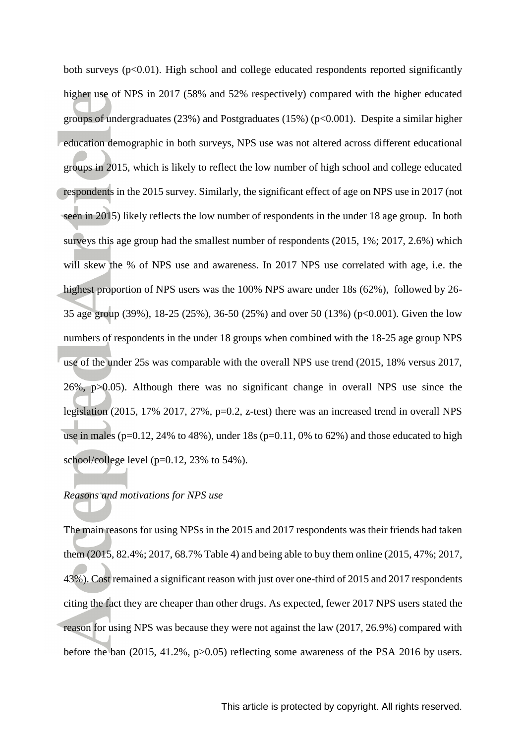both surveys  $(p<0.01)$ . High school and college educated respondents reported significantly higher use of NPS in 2017 (58% and 52% respectively) compared with the higher educated groups of undergraduates (23%) and Postgraduates (15%) ( $p<0.001$ ). Despite a similar higher education demographic in both surveys, NPS use was not altered across different educational groups in 2015, which is likely to reflect the low number of high school and college educated respondents in the 2015 survey. Similarly, the significant effect of age on NPS use in 2017 (not seen in 2015) likely reflects the low number of respondents in the under 18 age group. In both surveys this age group had the smallest number of respondents (2015, 1%; 2017, 2.6%) which will skew the % of NPS use and awareness. In 2017 NPS use correlated with age, i.e. the highest proportion of NPS users was the 100% NPS aware under 18s (62%), followed by 26- 35 age group (39%), 18-25 (25%), 36-50 (25%) and over 50 (13%) (p<0.001). Given the low numbers of respondents in the under 18 groups when combined with the 18-25 age group NPS use of the under 25s was comparable with the overall NPS use trend (2015, 18% versus 2017, 26%, p>0.05). Although there was no significant change in overall NPS use since the legislation (2015, 17% 2017, 27%, p=0.2, z-test) there was an increased trend in overall NPS use in males ( $p=0.12$ , 24% to 48%), under 18s ( $p=0.11$ , 0% to 62%) and those educated to high school/college level (p=0.12, 23% to 54%).

# *Reasons and motivations for NPS use*

The main reasons for using NPSs in the 2015 and 2017 respondents was their friends had taken them (2015, 82.4%; 2017, 68.7% Table 4) and being able to buy them online (2015, 47%; 2017, 43%). Cost remained a significant reason with just over one-third of 2015 and 2017 respondents citing the fact they are cheaper than other drugs. As expected, fewer 2017 NPS users stated the reason for using NPS was because they were not against the law (2017, 26.9%) compared with before the ban (2015, 41.2%, p>0.05) reflecting some awareness of the PSA 2016 by users.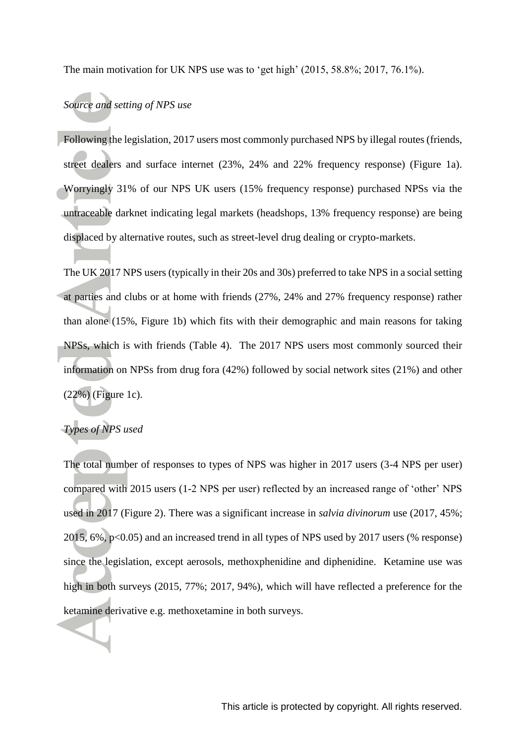The main motivation for UK NPS use was to 'get high' (2015, 58.8%; 2017, 76.1%).

# *Source and setting of NPS use*

Following the legislation, 2017 users most commonly purchased NPS by illegal routes (friends, street dealers and surface internet (23%, 24% and 22% frequency response) (Figure 1a). Worryingly 31% of our NPS UK users (15% frequency response) purchased NPSs via the untraceable darknet indicating legal markets (headshops, 13% frequency response) are being displaced by alternative routes, such as street-level drug dealing or crypto-markets.

The UK 2017 NPS users (typically in their 20s and 30s) preferred to take NPS in a social setting at parties and clubs or at home with friends (27%, 24% and 27% frequency response) rather than alone (15%, Figure 1b) which fits with their demographic and main reasons for taking NPSs, which is with friends (Table 4). The 2017 NPS users most commonly sourced their information on NPSs from drug fora (42%) followed by social network sites (21%) and other (22%) (Figure 1c).

# *Types of NPS used*

The total number of responses to types of NPS was higher in 2017 users (3-4 NPS per user) compared with 2015 users (1-2 NPS per user) reflected by an increased range of 'other' NPS used in 2017 (Figure 2). There was a significant increase in *salvia divinorum* use (2017, 45%; 2015, 6%, p<0.05) and an increased trend in all types of NPS used by 2017 users (% response) since the legislation, except aerosols, methoxphenidine and diphenidine. Ketamine use was high in both surveys (2015, 77%; 2017, 94%), which will have reflected a preference for the ketamine derivative e.g. methoxetamine in both surveys.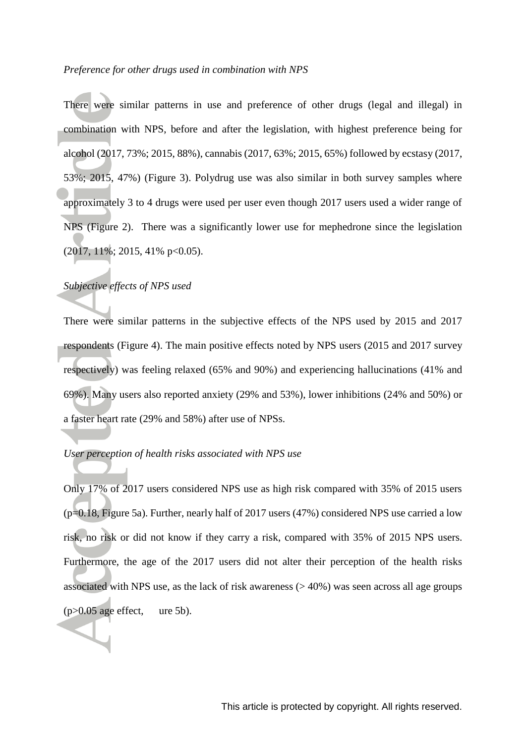#### *Preference for other drugs used in combination with NPS*

There were similar patterns in use and preference of other drugs (legal and illegal) in combination with NPS, before and after the legislation, with highest preference being for alcohol (2017, 73%; 2015, 88%), cannabis (2017, 63%; 2015, 65%) followed by ecstasy (2017, 53%; 2015, 47%) (Figure 3). Polydrug use was also similar in both survey samples where approximately 3 to 4 drugs were used per user even though 2017 users used a wider range of NPS (Figure 2). There was a significantly lower use for mephedrone since the legislation (2017, 11%; 2015, 41% p<0.05).

## *Subjective effects of NPS used*

There were similar patterns in the subjective effects of the NPS used by 2015 and 2017 respondents (Figure 4). The main positive effects noted by NPS users (2015 and 2017 survey respectively) was feeling relaxed (65% and 90%) and experiencing hallucinations (41% and 69%). Many users also reported anxiety (29% and 53%), lower inhibitions (24% and 50%) or a faster heart rate (29% and 58%) after use of NPSs.

# *User perception of health risks associated with NPS use*

Only 17% of 2017 users considered NPS use as high risk compared with 35% of 2015 users  $(p=0.18,$  Figure 5a). Further, nearly half of 2017 users  $(47%)$  considered NPS use carried a low risk, no risk or did not know if they carry a risk, compared with 35% of 2015 NPS users. Furthermore, the age of the 2017 users did not alter their perception of the health risks associated with NPS use, as the lack of risk awareness  $(>40\%)$  was seen across all age groups  $(p>0.05$  age effect, ure 5b).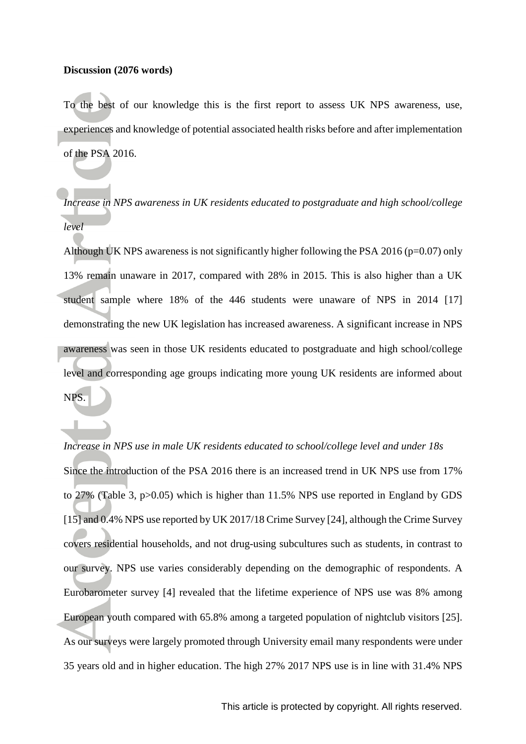#### **Discussion (2076 words)**

To the best of our knowledge this is the first report to assess UK NPS awareness, use, experiences and knowledge of potential associated health risks before and after implementation of the PSA 2016.

*Increase in NPS awareness in UK residents educated to postgraduate and high school/college level* 

Although UK NPS awareness is not significantly higher following the PSA 2016 ( $p=0.07$ ) only 13% remain unaware in 2017, compared with 28% in 2015. This is also higher than a UK student sample where 18% of the 446 students were unaware of NPS in 2014 [17] demonstrating the new UK legislation has increased awareness. A significant increase in NPS awareness was seen in those UK residents educated to postgraduate and high school/college level and corresponding age groups indicating more young UK residents are informed about NPS.

*Increase in NPS use in male UK residents educated to school/college level and under 18s* Since the introduction of the PSA 2016 there is an increased trend in UK NPS use from 17% to 27% (Table 3, p>0.05) which is higher than 11.5% NPS use reported in England by GDS [15] and 0.4% NPS use reported by UK 2017/18 Crime Survey [24], although the Crime Survey covers residential households, and not drug-using subcultures such as students, in contrast to our survey. NPS use varies considerably depending on the demographic of respondents. A Eurobarometer survey [4] revealed that the lifetime experience of NPS use was 8% among European youth compared with 65.8% among a targeted population of nightclub visitors [25]. As our surveys were largely promoted through University email many respondents were under 35 years old and in higher education. The high 27% 2017 NPS use is in line with 31.4% NPS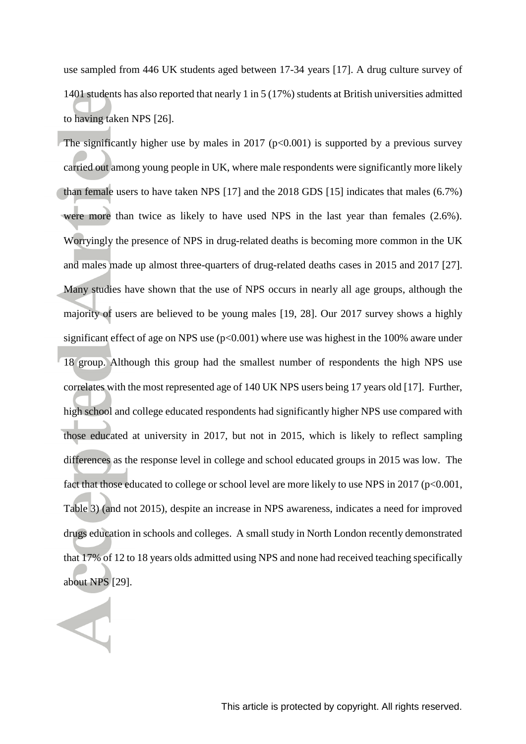use sampled from 446 UK students aged between 17-34 years [17]. A drug culture survey of 1401 students has also reported that nearly 1 in 5 (17%) students at British universities admitted to having taken NPS [26].

The significantly higher use by males in 2017 ( $p<0.001$ ) is supported by a previous survey carried out among young people in UK, where male respondents were significantly more likely than female users to have taken NPS [17] and the 2018 GDS [15] indicates that males (6.7%) were more than twice as likely to have used NPS in the last year than females (2.6%). Worryingly the presence of NPS in drug-related deaths is becoming more common in the UK and males made up almost three-quarters of drug-related deaths cases in 2015 and 2017 [27]. Many studies have shown that the use of NPS occurs in nearly all age groups, although the majority of users are believed to be young males [19, 28]. Our 2017 survey shows a highly significant effect of age on NPS use  $(p<0.001)$  where use was highest in the 100% aware under 18 group. Although this group had the smallest number of respondents the high NPS use correlates with the most represented age of 140 UK NPS users being 17 years old [17]. Further, high school and college educated respondents had significantly higher NPS use compared with those educated at university in 2017, but not in 2015, which is likely to reflect sampling differences as the response level in college and school educated groups in 2015 was low. The fact that those educated to college or school level are more likely to use NPS in 2017 (p<0.001, Table 3) (and not 2015), despite an increase in NPS awareness, indicates a need for improved drugs education in schools and colleges. A small study in North London recently demonstrated that 17% of 12 to 18 years olds admitted using NPS and none had received teaching specifically about NPS [29].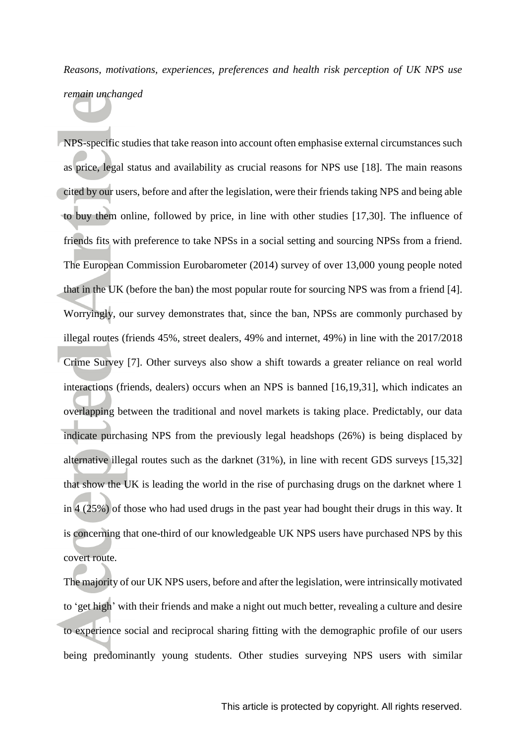# *Reasons, motivations, experiences, preferences and health risk perception of UK NPS use remain unchanged*

NPS-specific studies that take reason into account often emphasise external circumstances such as price, legal status and availability as crucial reasons for NPS use [18]. The main reasons cited by our users, before and after the legislation, were their friends taking NPS and being able to buy them online, followed by price, in line with other studies [17,30]. The influence of friends fits with preference to take NPSs in a social setting and sourcing NPSs from a friend. The European Commission Eurobarometer (2014) survey of over 13,000 young people noted that in the UK (before the ban) the most popular route for sourcing NPS was from a friend [4]. Worryingly, our survey demonstrates that, since the ban, NPSs are commonly purchased by illegal routes (friends 45%, street dealers, 49% and internet, 49%) in line with the 2017/2018 Crime Survey [7]. Other surveys also show a shift towards a greater reliance on real world interactions (friends, dealers) occurs when an NPS is banned [16,19,31], which indicates an overlapping between the traditional and novel markets is taking place. Predictably, our data indicate purchasing NPS from the previously legal headshops (26%) is being displaced by alternative illegal routes such as the darknet (31%), in line with recent GDS surveys [15,32] that show the UK is leading the world in the rise of purchasing drugs on the darknet where 1 in 4 (25%) of those who had used drugs in the past year had bought their drugs in this way. It is concerning that one-third of our knowledgeable UK NPS users have purchased NPS by this covert route.

The majority of our UK NPS users, before and after the legislation, were intrinsically motivated to 'get high' with their friends and make a night out much better, revealing a culture and desire to experience social and reciprocal sharing fitting with the demographic profile of our users being predominantly young students. Other studies surveying NPS users with similar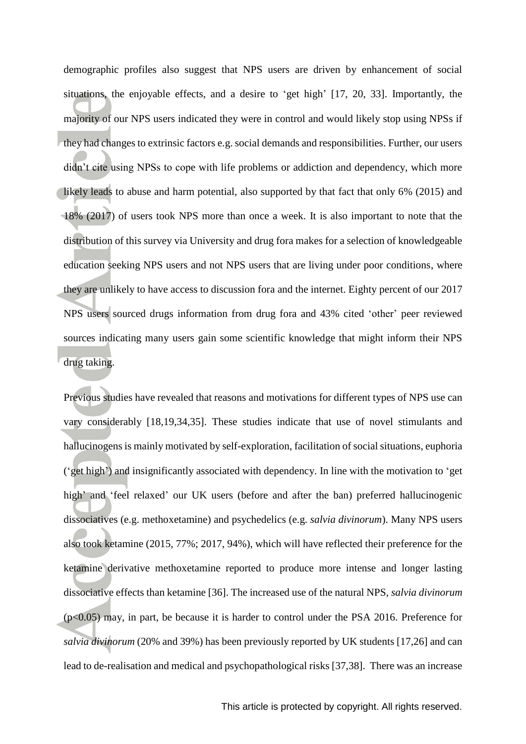demographic profiles also suggest that NPS users are driven by enhancement of social situations, the enjoyable effects, and a desire to 'get high' [17, 20, 33]. Importantly, the majority of our NPS users indicated they were in control and would likely stop using NPSs if they had changes to extrinsic factors e.g. social demands and responsibilities. Further, our users didn't cite using NPSs to cope with life problems or addiction and dependency, which more likely leads to abuse and harm potential, also supported by that fact that only 6% (2015) and 18% (2017) of users took NPS more than once a week. It is also important to note that the distribution of this survey via University and drug fora makes for a selection of knowledgeable education seeking NPS users and not NPS users that are living under poor conditions, where they are unlikely to have access to discussion fora and the internet. Eighty percent of our 2017 NPS users sourced drugs information from drug fora and 43% cited 'other' peer reviewed sources indicating many users gain some scientific knowledge that might inform their NPS drug taking.

Previous studies have revealed that reasons and motivations for different types of NPS use can vary considerably [18,19,34,35]. These studies indicate that use of novel stimulants and hallucinogens is mainly motivated by self-exploration, facilitation of social situations, euphoria ('get high') and insignificantly associated with dependency. In line with the motivation to 'get high' and 'feel relaxed' our UK users (before and after the ban) preferred hallucinogenic dissociatives (e.g. methoxetamine) and psychedelics (e.g. *salvia divinorum*). Many NPS users also took ketamine (2015, 77%; 2017, 94%), which will have reflected their preference for the ketamine derivative methoxetamine reported to produce more intense and longer lasting dissociative effects than ketamine [36]. The increased use of the natural NPS, *salvia divinorum* (p<0.05) may, in part, be because it is harder to control under the PSA 2016. Preference for *salvia divinorum* (20% and 39%) has been previously reported by UK students [17,26] and can lead to de-realisation and medical and psychopathological risks [37,38]. There was an increase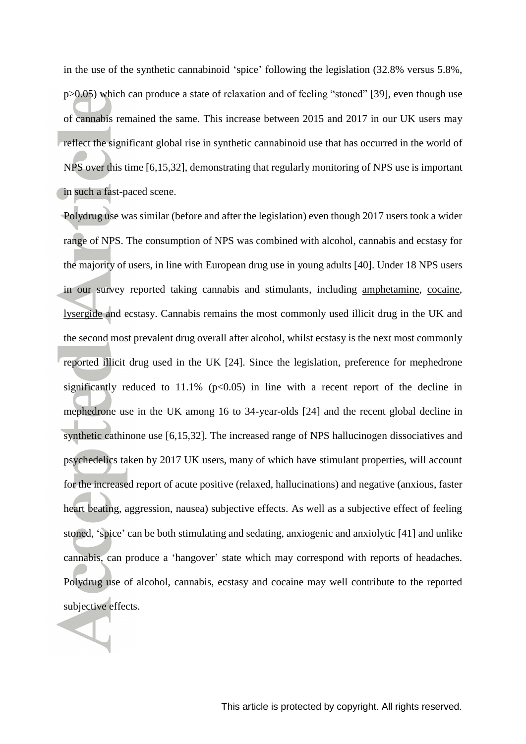in the use of the synthetic cannabinoid 'spice' following the legislation (32.8% versus 5.8%, p>0.05) which can produce a state of relaxation and of feeling "stoned" [39], even though use of cannabis remained the same. This increase between 2015 and 2017 in our UK users may reflect the significant global rise in synthetic cannabinoid use that has occurred in the world of NPS over this time [6,15,32], demonstrating that regularly monitoring of NPS use is important in such a fast-paced scene.

Polydrug use was similar (before and after the legislation) even though 2017 users took a wider range of NPS. The consumption of NPS was combined with alcohol, cannabis and ecstasy for the majority of users, in line with European drug use in young adults [40]. Under 18 NPS users in our survey reported taking cannabis and stimulants, including [amphetamine,](https://www.guidetopharmacology.org/GRAC/LigandDisplayForward?ligandId=4804) [cocaine,](https://www.guidetopharmacology.org/GRAC/LigandDisplayForward?ligandId=2286) [lysergide](https://www.guidetopharmacology.org/GRAC/LigandDisplayForward?ligandId=17) and ecstasy. Cannabis remains the most commonly used illicit drug in the UK and the second most prevalent drug overall after alcohol, whilst ecstasy is the next most commonly reported illicit drug used in the UK [24]. Since the legislation, preference for mephedrone significantly reduced to 11.1% ( $p<0.05$ ) in line with a recent report of the decline in mephedrone use in the UK among 16 to 34-year-olds [24] and the recent global decline in synthetic cathinone use [6,15,32]. The increased range of NPS hallucinogen dissociatives and psychedelics taken by 2017 UK users, many of which have stimulant properties, will account for the increased report of acute positive (relaxed, hallucinations) and negative (anxious, faster heart beating, aggression, nausea) subjective effects. As well as a subjective effect of feeling stoned, 'spice' can be both stimulating and sedating, anxiogenic and anxiolytic [41] and unlike cannabis, can produce a 'hangover' state which may correspond with reports of headaches. Polydrug use of alcohol, cannabis, ecstasy and cocaine may well contribute to the reported subjective effects.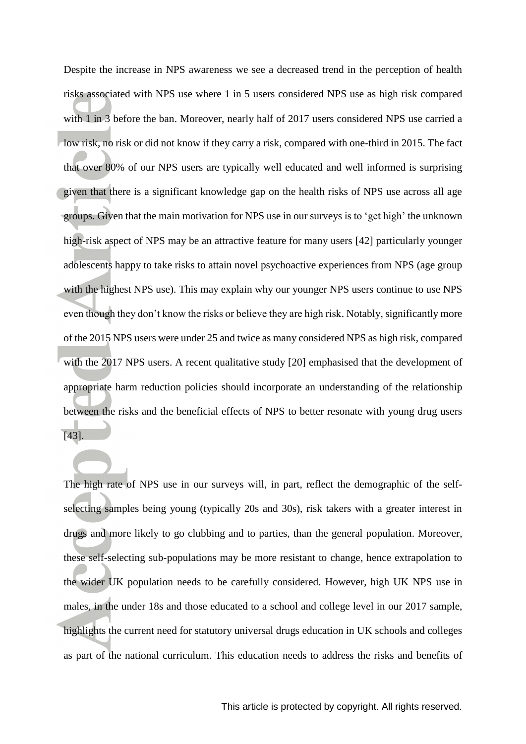Despite the increase in NPS awareness we see a decreased trend in the perception of health risks associated with NPS use where 1 in 5 users considered NPS use as high risk compared with 1 in 3 before the ban. Moreover, nearly half of 2017 users considered NPS use carried a low risk, no risk or did not know if they carry a risk, compared with one-third in 2015. The fact that over 80% of our NPS users are typically well educated and well informed is surprising given that there is a significant knowledge gap on the health risks of NPS use across all age groups. Given that the main motivation for NPS use in our surveys is to 'get high' the unknown high-risk aspect of NPS may be an attractive feature for many users [42] particularly younger adolescents happy to take risks to attain novel psychoactive experiences from NPS (age group with the highest NPS use). This may explain why our younger NPS users continue to use NPS even though they don't know the risks or believe they are high risk. Notably, significantly more of the 2015 NPS users were under 25 and twice as many considered NPS as high risk, compared with the 2017 NPS users. A recent qualitative study [20] emphasised that the development of appropriate harm reduction policies should incorporate an understanding of the relationship between the risks and the beneficial effects of NPS to better resonate with young drug users [43].

The high rate of NPS use in our surveys will, in part, reflect the demographic of the selfselecting samples being young (typically 20s and 30s), risk takers with a greater interest in drugs and more likely to go clubbing and to parties, than the general population. Moreover, these self-selecting sub-populations may be more resistant to change, hence extrapolation to the wider UK population needs to be carefully considered. However, high UK NPS use in males, in the under 18s and those educated to a school and college level in our 2017 sample, highlights the current need for statutory universal drugs education in UK schools and colleges as part of the national curriculum. This education needs to address the risks and benefits of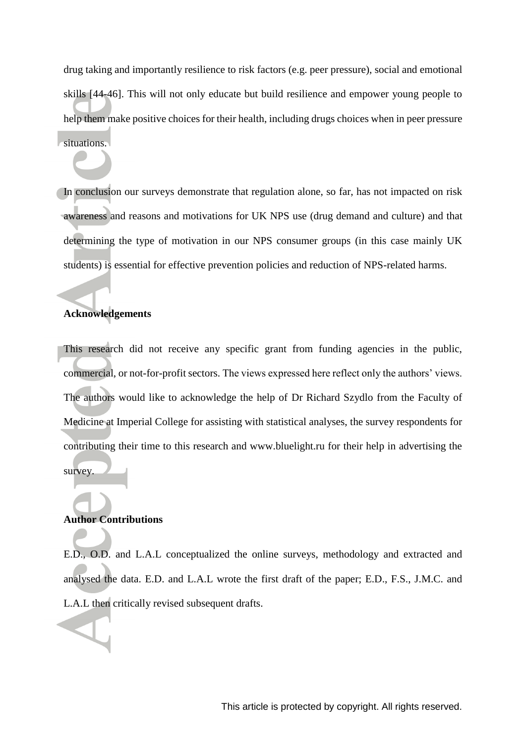drug taking and importantly resilience to risk factors (e.g. peer pressure), social and emotional skills [44-46]. This will not only educate but build resilience and empower young people to help them make positive choices for their health, including drugs choices when in peer pressure situations.

In conclusion our surveys demonstrate that regulation alone, so far, has not impacted on risk awareness and reasons and motivations for UK NPS use (drug demand and culture) and that determining the type of motivation in our NPS consumer groups (in this case mainly UK students) is essential for effective prevention policies and reduction of NPS-related harms.

# **Acknowledgements**

This research did not receive any specific grant from funding agencies in the public, commercial, or not-for-profit sectors. The views expressed here reflect only the authors' views. The authors would like to acknowledge the help of Dr Richard Szydlo from the Faculty of Medicine at Imperial College for assisting with statistical analyses, the survey respondents for contributing their time to this research and www.bluelight.ru for their help in advertising the survey.

#### **Author Contributions**

E.D., O.D. and L.A.L conceptualized the online surveys, methodology and extracted and analysed the data. E.D. and L.A.L wrote the first draft of the paper; E.D., F.S., J.M.C. and L.A.L then critically revised subsequent drafts.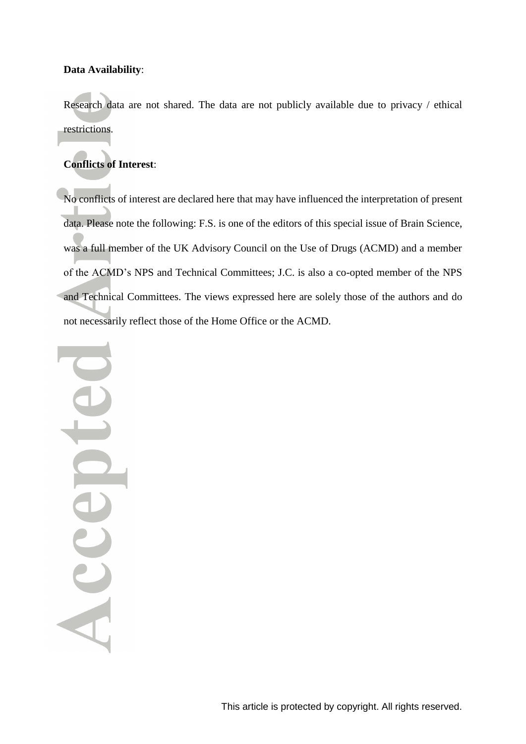#### **Data Availability**:

Research data are not shared. The data are not publicly available due to privacy / ethical restrictions.

# **Conflicts of Interest**:

No conflicts of interest are declared here that may have influenced the interpretation of present data. Please note the following: F.S. is one of the editors of this special issue of Brain Science, was a full member of the UK Advisory Council on the Use of Drugs (ACMD) and a member of the ACMD's NPS and Technical Committees; J.C. is also a co-opted member of the NPS and Technical Committees. The views expressed here are solely those of the authors and do not necessarily reflect those of the Home Office or the ACMD.

Accepte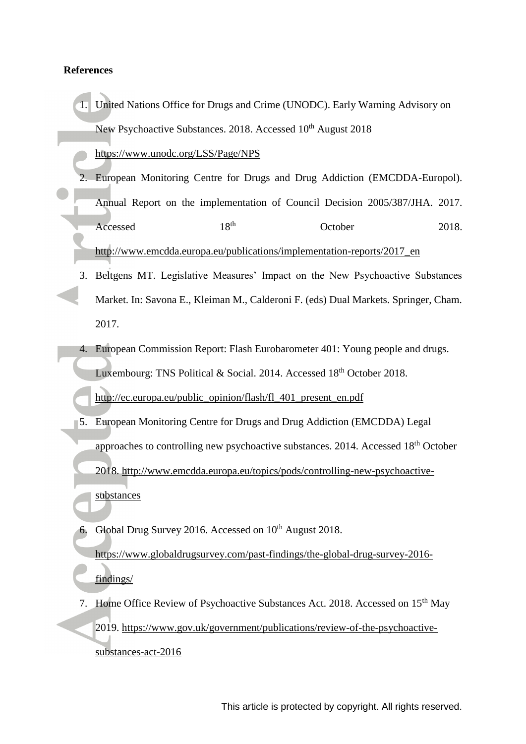#### **References**

1. United Nations Office for Drugs and Crime (UNODC). Early Warning Advisory on New Psychoactive Substances. 2018. Accessed 10<sup>th</sup> August 2018

<https://www.unodc.org/LSS/Page/NPS>

- 2. European Monitoring Centre for Drugs and Drug Addiction (EMCDDA-Europol). Annual Report on the implementation of Council Decision 2005/387/JHA. 2017. Accessed 18<sup>th</sup> October 2018. http://www.emcdda.europa.eu/publications/implementation-reports/2017\_en
- 3. Beltgens MT. Legislative Measures' Impact on the New Psychoactive Substances Market. In: Savona E., Kleiman M., Calderoni F. (eds) Dual Markets. Springer, Cham. 2017.
- 4. European Commission Report: Flash Eurobarometer 401: Young people and drugs. Luxembourg: TNS Political & Social. 2014. Accessed 18<sup>th</sup> October 2018.

[http://ec.europa.eu/public\\_opinion/flash/fl\\_401\\_present\\_en.pdf](http://ec.europa.eu/public_opinion/flash/fl_401_present_en.pdf)

- 5. European Monitoring Centre for Drugs and Drug Addiction (EMCDDA) Legal approaches to controlling new psychoactive substances. 2014. Accessed 18th October 2018. [http://www.emcdda.europa.eu/topics/pods/controlling-new-psychoactive](http://www.emcdda.europa.eu/topics/pods/controlling-new-psychoactive-substances)[substances](http://www.emcdda.europa.eu/topics/pods/controlling-new-psychoactive-substances)
- 6. Global Drug Survey 2016. Accessed on 10<sup>th</sup> August 2018. [https://www.globaldrugsurvey.com/past-findings/the-global-drug-survey-2016](https://www.globaldrugsurvey.com/past-findings/the-global-drug-survey-2016-findings/) [findings/](https://www.globaldrugsurvey.com/past-findings/the-global-drug-survey-2016-findings/)
- 7. Home Office Review of Psychoactive Substances Act. 2018. Accessed on 15<sup>th</sup> May 2019. [https://www.gov.uk/government/publications/review-of-the-psychoactive](https://www.gov.uk/government/publications/review-of-the-psychoactive-substances-act-2016)[substances-act-2016](https://www.gov.uk/government/publications/review-of-the-psychoactive-substances-act-2016)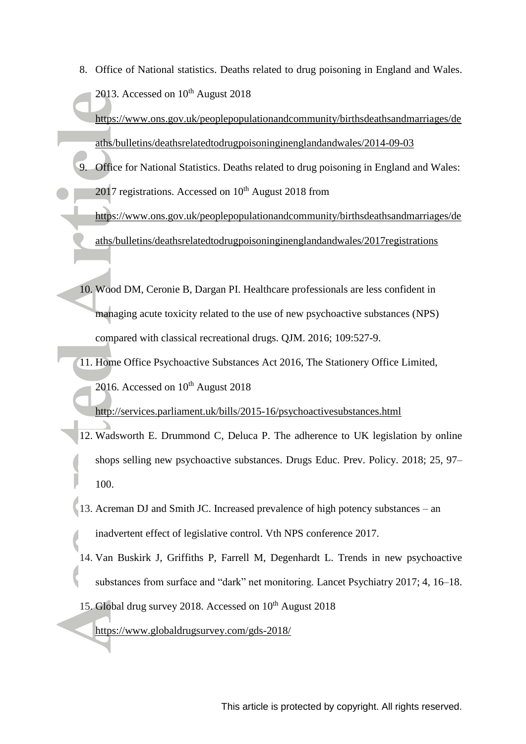8. Office of National statistics. Deaths related to drug poisoning in England and Wales. 2013. Accessed on  $10^{th}$  August 2018

[https://www.ons.gov.uk/peoplepopulationandcommunity/birthsdeathsandmarriages/de](https://www.ons.gov.uk/peoplepopulationandcommunity/birthsdeathsandmarriages/deaths/bulletins/deathsrelatedtodrugpoisoninginenglandandwales/2014-09-03) [aths/bulletins/deathsrelatedtodrugpoisoninginenglandandwales/2014-09-03](https://www.ons.gov.uk/peoplepopulationandcommunity/birthsdeathsandmarriages/deaths/bulletins/deathsrelatedtodrugpoisoninginenglandandwales/2014-09-03)

- 9. Office for National Statistics. Deaths related to drug poisoning in England and Wales:  $2017$  registrations. Accessed on  $10<sup>th</sup>$  August 2018 from [https://www.ons.gov.uk/peoplepopulationandcommunity/birthsdeathsandmarriages/de](https://www.ons.gov.uk/peoplepopulationandcommunity/birthsdeathsandmarriages/deaths/bulletins/deathsrelatedtodrugpoisoninginenglandandwales/2017registrations) [aths/bulletins/deathsrelatedtodrugpoisoninginenglandandwales/2017registrations](https://www.ons.gov.uk/peoplepopulationandcommunity/birthsdeathsandmarriages/deaths/bulletins/deathsrelatedtodrugpoisoninginenglandandwales/2017registrations)
	- 10. Wood DM, Ceronie B, Dargan PI. Healthcare professionals are less confident in managing acute toxicity related to the use of new psychoactive substances (NPS) compared with classical recreational drugs. QJM. 2016; 109:527-9.
- 11. Home Office Psychoactive Substances Act 2016, The Stationery Office Limited, 2016. Accessed on  $10^{th}$  August 2018 <http://services.parliament.uk/bills/2015-16/psychoactivesubstances.html>
	- 12. Wadsworth E. Drummond C, Deluca P. The adherence to UK legislation by online shops selling new psychoactive substances. Drugs Educ. Prev. Policy. 2018; 25*,* 97– 100.
- 13. Acreman DJ and Smith JC. Increased prevalence of high potency substances an inadvertent effect of legislative control. Vth NPS conference 2017.
- 14. Van Buskirk J, Griffiths P, Farrell M, Degenhardt L. Trends in new psychoactive substances from surface and "dark" net monitoring. Lancet Psychiatry 2017; 4*,* 16–18.
- 15. Global drug survey 2018. Accessed on 10<sup>th</sup> August 2018

<https://www.globaldrugsurvey.com/gds-2018/>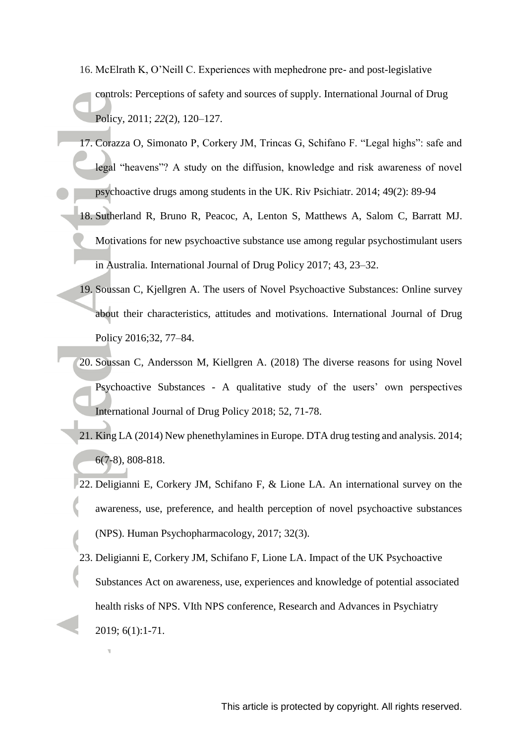- 16. McElrath K, O'Neill C. Experiences with mephedrone pre- and post-legislative controls: Perceptions of safety and sources of supply. International Journal of Drug Policy, 2011; *22*(2), 120–127.
- 17. Corazza O, Simonato P, Corkery JM, Trincas G, Schifano F. "Legal highs": safe and legal "heavens"? A study on the diffusion, knowledge and risk awareness of novel psychoactive drugs among students in the UK. Riv Psichiatr. 2014; 49(2): 89-94
- 18. Sutherland R, Bruno R, Peacoc, A, Lenton S, Matthews A, Salom C, Barratt MJ. Motivations for new psychoactive substance use among regular psychostimulant users in Australia. International Journal of Drug Policy 2017; 43, 23–32.
- 19. Soussan C, Kjellgren A. The users of Novel Psychoactive Substances: Online survey about their characteristics, attitudes and motivations. International Journal of Drug Policy 2016;32, 77–84.
- 20. Soussan C, Andersson M, Kiellgren A. (2018) The diverse reasons for using Novel Psychoactive Substances - A qualitative study of the users' own perspectives International Journal of Drug Policy 2018; 52, 71-78.
- 21. King LA (2014) New phenethylamines in Europe. DTA drug testing and analysis*.* 2014; 6(7-8), 808-818.
- 22. Deligianni E, Corkery JM, Schifano F, & Lione LA. An international survey on the awareness, use, preference, and health perception of novel psychoactive substances (NPS). Human Psychopharmacology, 2017; 32(3).
- 23. Deligianni E, Corkery JM, Schifano F, Lione LA. Impact of the UK Psychoactive Substances Act on awareness, use, experiences and knowledge of potential associated health risks of NPS. VIth NPS conference, Research and Advances in Psychiatry 2019; 6(1):1-71.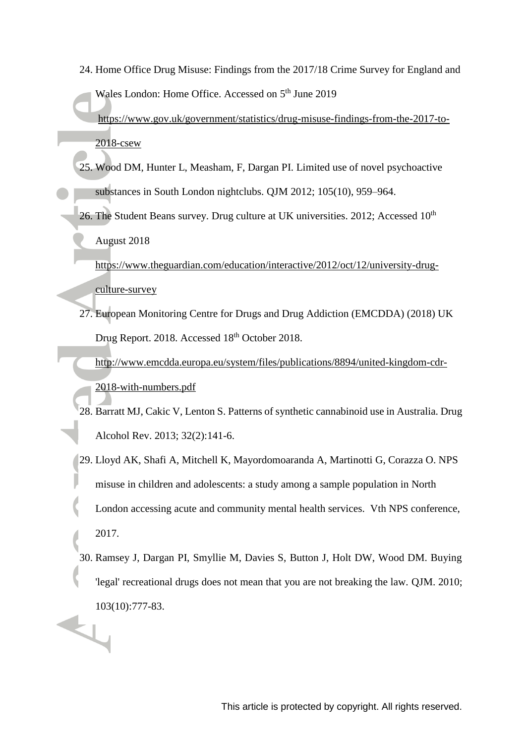- 24. Home Office Drug Misuse: Findings from the 2017/18 Crime Survey for England and Wales London: Home Office. Accessed on 5<sup>th</sup> June 2019 [https://www.gov.uk/government/statistics/drug-misuse-findings-from-the-2017-to-](https://www.gov.uk/government/statistics/drug-misuse-findings-from-the-2017-to-2018-csew)[2018-csew](https://www.gov.uk/government/statistics/drug-misuse-findings-from-the-2017-to-2018-csew)
	- 25. Wood DM, Hunter L, Measham, F, Dargan PI. Limited use of novel psychoactive substances in South London nightclubs. QJM 2012; 105(10), 959–964.
	- 26. The Student Beans survey. Drug culture at UK universities. 2012; Accessed 10<sup>th</sup> August 2018
		- [https://www.theguardian.com/education/interactive/2012/oct/12/university-drug](https://www.theguardian.com/education/interactive/2012/oct/12/university-drug-culture-survey)[culture-survey](https://www.theguardian.com/education/interactive/2012/oct/12/university-drug-culture-survey)
	- 27. European Monitoring Centre for Drugs and Drug Addiction (EMCDDA) (2018) UK Drug Report. 2018. Accessed 18<sup>th</sup> October 2018.
		- [http://www.emcdda.europa.eu/system/files/publications/8894/united-kingdom-cdr-](http://www.emcdda.europa.eu/system/files/publications/8894/united-kingdom-cdr-2018-with-numbers.pdf)[2018-with-numbers.pdf](http://www.emcdda.europa.eu/system/files/publications/8894/united-kingdom-cdr-2018-with-numbers.pdf)
	- 28. Barratt MJ, Cakic V, Lenton S. Patterns of synthetic cannabinoid use in Australia. Drug Alcohol Rev. 2013; 32(2):141-6.
	- 29. Lloyd AK, Shafi A, Mitchell K, Mayordomoaranda A, Martinotti G, Corazza O. NPS misuse in children and adolescents: a study among a sample population in North London accessing acute and community mental health services. Vth NPS conference, 2017.
- 30. Ramsey J, Dargan PI, Smyllie M, Davies S, Button J, Holt DW, Wood DM. Buying 'legal' recreational drugs does not mean that you are not breaking the law. QJM. 2010;  $103(10):777-83.$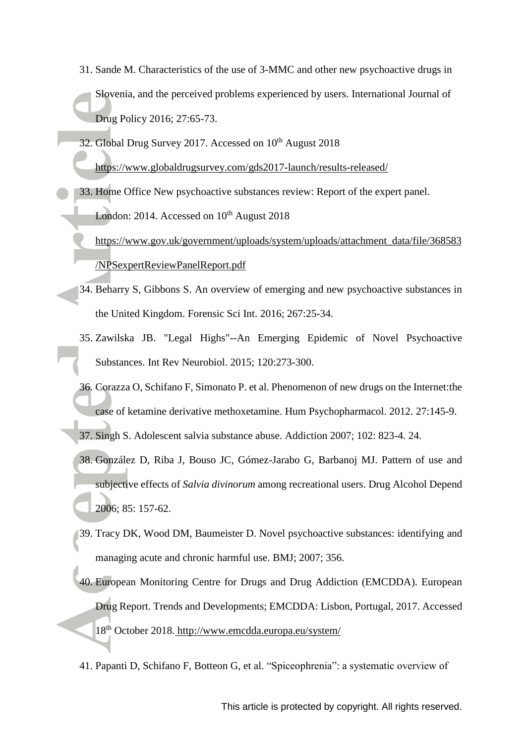- 31. Sande M. Characteristics of the use of 3-MMC and other new psychoactive drugs in Slovenia, and the perceived problems experienced by users. International Journal of Drug Policy 2016; 27:65-73.
- 32. Global Drug Survey 2017. Accessed on 10<sup>th</sup> August 2018

<https://www.globaldrugsurvey.com/gds2017-launch/results-released/>

33. Home Office New psychoactive substances review: Report of the expert panel. London: 2014. Accessed on  $10^{th}$  August 2018

[https://www.gov.uk/government/uploads/system/uploads/attachment\\_data/file/368583](https://www.gov.uk/government/uploads/system/uploads/attachment_data/file/368583/NPSexpertReviewPanelReport.pdf) [/NPSexpertReviewPanelReport.pdf](https://www.gov.uk/government/uploads/system/uploads/attachment_data/file/368583/NPSexpertReviewPanelReport.pdf) 

- 34. Beharry S, Gibbons S. An overview of emerging and new psychoactive substances in the United Kingdom. Forensic Sci Int. 2016; 267:25-34.
- 35. Zawilska JB. "Legal Highs"--An Emerging Epidemic of Novel Psychoactive Substances. Int Rev Neurobiol. 2015; 120:273-300.
- 36. Corazza O, Schifano F, Simonato P. et al. Phenomenon of new drugs on the Internet:the case of ketamine derivative methoxetamine. Hum Psychopharmacol. 2012. 27:145-9.
- 37. Singh S. Adolescent salvia substance abuse. Addiction 2007; 102: 823-4. 24.
- 38. González D, Riba J, Bouso JC, Gómez-Jarabo G, Barbanoj MJ. Pattern of use and subjective effects of *Salvia divinorum* among recreational users. Drug Alcohol Depend 2006; 85: 157-62.
- 39. Tracy DK, Wood DM, Baumeister D. Novel psychoactive substances: identifying and managing acute and chronic harmful use. BMJ; 2007; 356.
- 40. European Monitoring Centre for Drugs and Drug Addiction (EMCDDA). European Drug Report. Trends and Developments; EMCDDA: Lisbon, Portugal, 2017. Accessed 18th October 2018. <http://www.emcdda.europa.eu/system/>
- 41. Papanti D, Schifano F, Botteon G, et al. "Spiceophrenia": a systematic overview of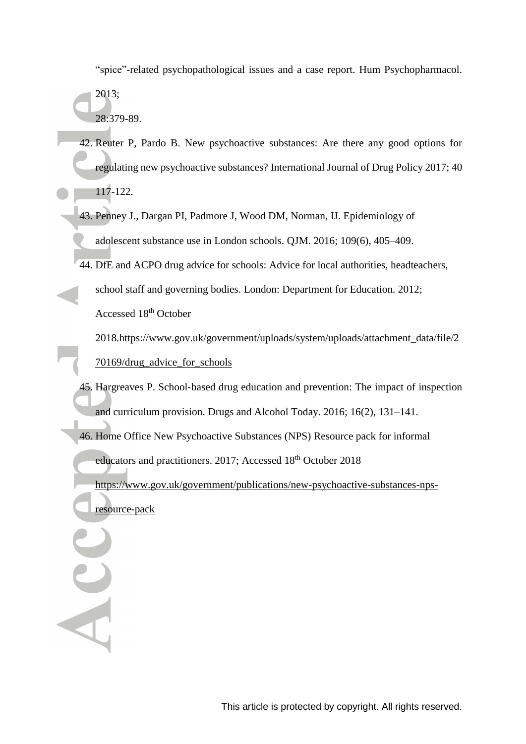"spice"-related psychopathological issues and a case report. Hum Psychopharmacol.

2013; 28:379-89.

- 42. Reuter P, Pardo B. New psychoactive substances: Are there any good options for regulating new psychoactive substances? International Journal of Drug Policy 2017; 40 117-122.
- 43. Penney J., Dargan PI, Padmore J, Wood DM, Norman, IJ. Epidemiology of adolescent substance use in London schools. QJM. 2016; 109(6), 405–409.
- 44. DfE and ACPO drug advice for schools: Advice for local authorities, headteachers,
	- school staff and governing bodies. London: Department for Education. 2012;

Accessed 18<sup>th</sup> October

2018[.https://www.gov.uk/government/uploads/system/uploads/attachment\\_data/file/2](https://www.gov.uk/government/uploads/system/uploads/attachment_data/file/270169/drug_advice_for_schools) [70169/drug\\_advice\\_for\\_schools](https://www.gov.uk/government/uploads/system/uploads/attachment_data/file/270169/drug_advice_for_schools) 

- 45. Hargreaves P. School‐based drug education and prevention: The impact of inspection and curriculum provision. Drugs and Alcohol Today. 2016; 16(2), 131–141.
- 46. Home Office New Psychoactive Substances (NPS) Resource pack for informal

educators and practitioners. 2017; Accessed 18<sup>th</sup> October 2018

[https://www.gov.uk/government/publications/new-psychoactive-substances-nps-](https://www.gov.uk/government/publications/new-psychoactive-substances-nps-resource-pack)

[resource-pack](https://www.gov.uk/government/publications/new-psychoactive-substances-nps-resource-pack)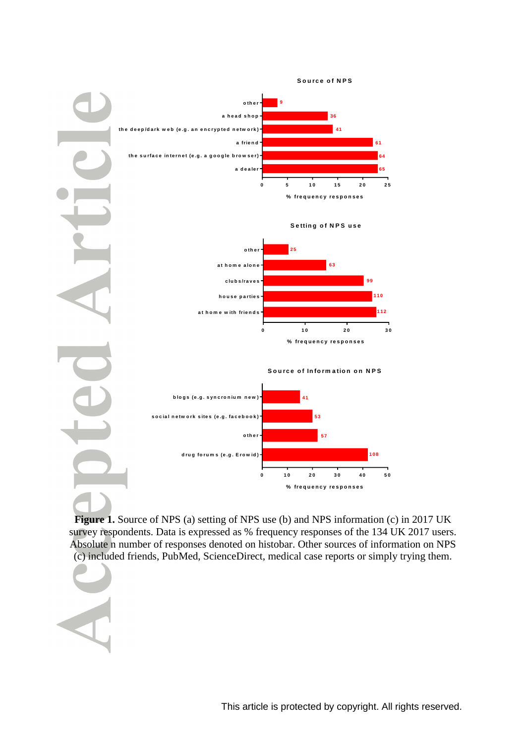

**Figure 1.** Source of NPS (a) setting of NPS use (b) and NPS information (c) in 2017 UK survey respondents. Data is expressed as % frequency responses of the 134 UK 2017 users. Absolute n number of responses denoted on histobar. Other sources of information on NPS (c) included friends, PubMed, ScienceDirect, medical case reports or simply trying them.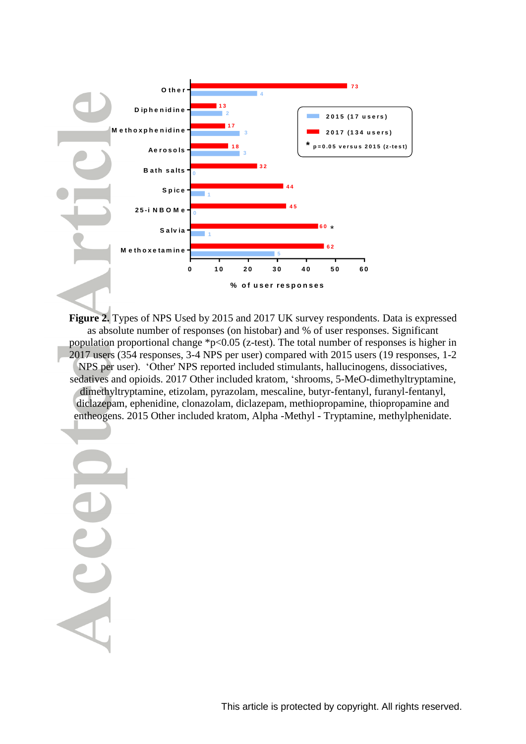

**Figure 2.** Types of NPS Used by 2015 and 2017 UK survey respondents. Data is expressed as absolute number of responses (on histobar) and % of user responses. Significant population proportional change  $p<0.05$  (z-test). The total number of responses is higher in 2017 users (354 responses, 3-4 NPS per user) compared with 2015 users (19 responses, 1-2 NPS per user). 'Other' NPS reported included stimulants, hallucinogens, dissociatives, sedatives and opioids. 2017 Other included kratom, 'shrooms, 5-MeO-dimethyltryptamine, dimethyltryptamine, etizolam, pyrazolam, mescaline, butyr-fentanyl, furanyl-fentanyl, diclazepam, ephenidine, clonazolam, diclazepam, methiopropamine, thiopropamine and entheogens. 2015 Other included kratom, Alpha -Methyl - Tryptamine, methylphenidate.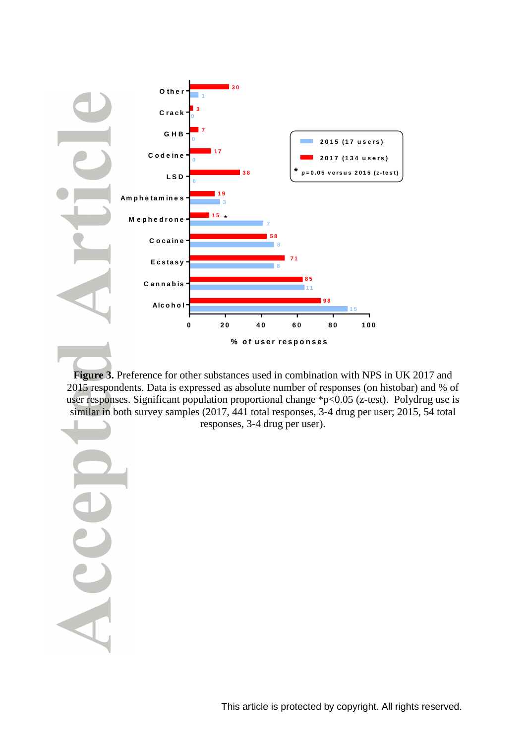

**Figure 3.** Preference for other substances used in combination with NPS in UK 2017 and 2015 respondents. Data is expressed as absolute number of responses (on histobar) and % of user responses. Significant population proportional change \*p<0.05 (z-test). Polydrug use is similar in both survey samples (2017, 441 total responses, 3-4 drug per user; 2015, 54 total

responses, 3-4 drug per user).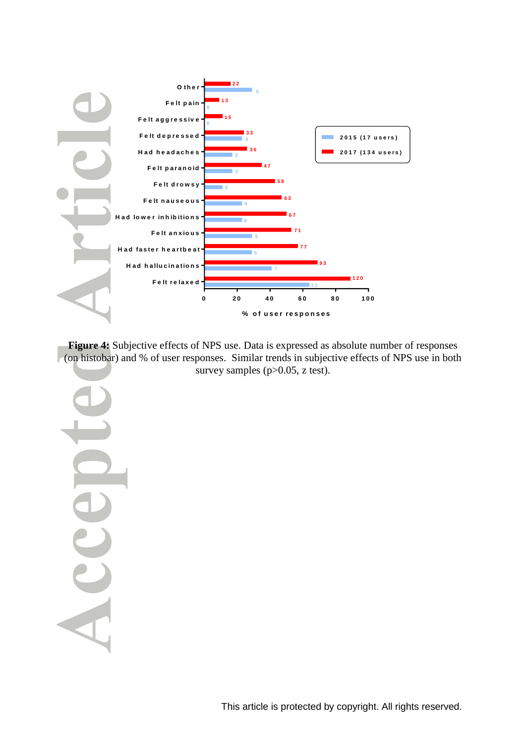

**Figure 4:** Subjective effects of NPS use. Data is expressed as absolute number of responses (on histobar) and % of user responses. Similar trends in subjective effects of NPS use in both survey samples (p>0.05, z test).

This article is protected by copyright. All rights reserved.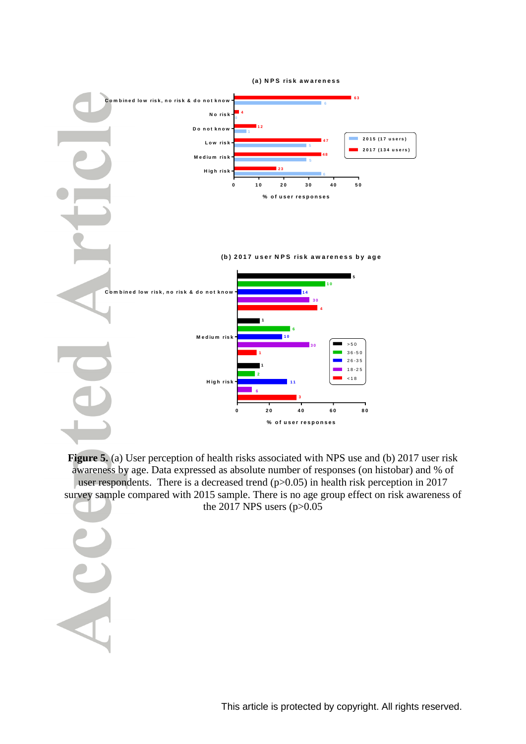

**Figure 5.** (a) User perception of health risks associated with NPS use and (b) 2017 user risk awareness by age. Data expressed as absolute number of responses (on histobar) and % of user respondents. There is a decreased trend  $(p>0.05)$  in health risk perception in 2017 survey sample compared with 2015 sample. There is no age group effect on risk awareness of the 2017 NPS users  $(p>0.05$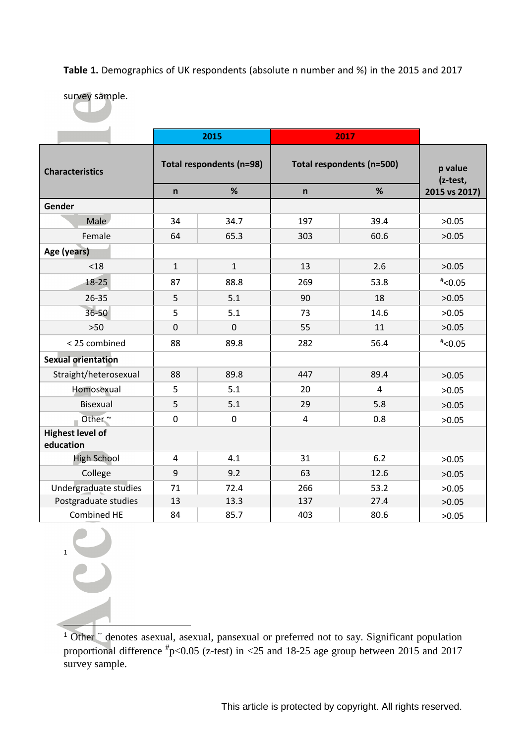**Table 1.** Demographics of UK respondents (absolute n number and %) in the 2015 and 2017

survey sample.

|                                      |                          | 2015           | 2017                      |                     |               |
|--------------------------------------|--------------------------|----------------|---------------------------|---------------------|---------------|
| <b>Characteristics</b>               | Total respondents (n=98) |                | Total respondents (n=500) | p value<br>(z-test, |               |
|                                      | $\mathsf{n}$             | %              | $\mathsf{n}$              | %                   | 2015 vs 2017) |
| Gender                               |                          |                |                           |                     |               |
| Male                                 | 34                       | 34.7           | 197                       | 39.4                | >0.05         |
| Female                               | 64                       | 65.3           | 303                       | 60.6                | >0.05         |
| Age (years)                          |                          |                |                           |                     |               |
| < 18                                 | $\mathbf{1}$             | $\mathbf{1}$   | 13                        | 2.6                 | >0.05         |
| 18-25                                | 87                       | 88.8           | 269                       | 53.8                | $*$ <0.05     |
| 26-35                                | 5                        | 5.1            | 90                        | 18                  | >0.05         |
| 36-50                                | 5                        | 5.1            | 73                        | 14.6                | >0.05         |
| $>50$                                | $\overline{0}$           | $\overline{0}$ | 55                        | 11                  | >0.05         |
| < 25 combined                        | 88                       | 89.8           | 282                       | 56.4                | $*$ <0.05     |
| <b>Sexual orientation</b>            |                          |                |                           |                     |               |
| Straight/heterosexual                | 88                       | 89.8           | 447                       | 89.4                | >0.05         |
| Homosexual                           | 5                        | 5.1            | 20                        | $\overline{4}$      | >0.05         |
| <b>Bisexual</b>                      | 5                        | 5.1            | 29                        | 5.8                 | >0.05         |
| Other~                               | $\mathbf 0$              | $\mathbf 0$    | 4                         | 0.8                 | >0.05         |
| <b>Highest level of</b><br>education |                          |                |                           |                     |               |
| <b>High School</b>                   | $\overline{4}$           | 4.1            | 31                        | 6.2                 | >0.05         |
| College                              | 9                        | 9.2            | 63                        | 12.6                | >0.05         |
| Undergraduate studies                | 71                       | 72.4           | 266                       | 53.2                | >0.05         |
| Postgraduate studies                 | 13                       | 13.3           | 137                       | 27.4                | >0.05         |
| Combined HE                          | 84                       | 85.7           | 403                       | 80.6                | >0.05         |

1

ĺ

<sup>1</sup> Other  $\tilde{ }$  denotes asexual, asexual, pansexual or preferred not to say. Significant population proportional difference  $\text{#p<0.05}$  (z-test) in <25 and 18-25 age group between 2015 and 2017 survey sample.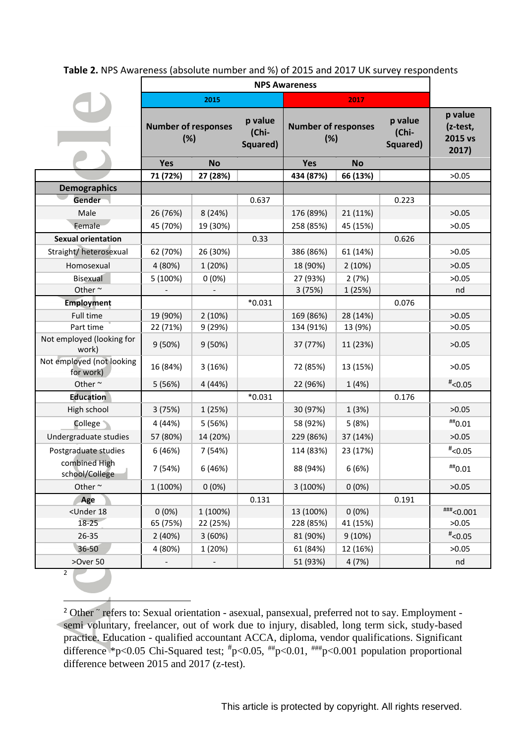#### **Table 2.** NPS Awareness (absolute number and %) of 2015 and 2017 UK survey respondents

|                                                                                                                                                                                    | 2015                              |           |                              |                                           |           |                              |                                         |
|------------------------------------------------------------------------------------------------------------------------------------------------------------------------------------|-----------------------------------|-----------|------------------------------|-------------------------------------------|-----------|------------------------------|-----------------------------------------|
|                                                                                                                                                                                    | <b>Number of responses</b><br>(%) |           | p value<br>(Chi-<br>Squared) | 2017<br><b>Number of responses</b><br>(%) |           | p value<br>(Chi-<br>Squared) | p value<br>(z-test,<br>2015 vs<br>2017) |
|                                                                                                                                                                                    | Yes                               | <b>No</b> |                              | <b>Yes</b>                                | <b>No</b> |                              |                                         |
|                                                                                                                                                                                    | 71 (72%)                          | 27 (28%)  |                              | 434 (87%)                                 | 66 (13%)  |                              | >0.05                                   |
| <b>Demographics</b><br>Gender                                                                                                                                                      |                                   |           | 0.637                        |                                           |           | 0.223                        |                                         |
| Male                                                                                                                                                                               | 26 (76%)                          | 8 (24%)   |                              | 176 (89%)                                 | 21 (11%)  |                              | >0.05                                   |
| Female                                                                                                                                                                             | 45 (70%)                          | 19 (30%)  |                              | 258 (85%)                                 | 45 (15%)  |                              | >0.05                                   |
| <b>Sexual orientation</b>                                                                                                                                                          |                                   |           | 0.33                         |                                           |           | 0.626                        |                                         |
| Straight/heterosexual                                                                                                                                                              | 62 (70%)                          | 26 (30%)  |                              | 386 (86%)                                 | 61 (14%)  |                              | >0.05                                   |
| Homosexual                                                                                                                                                                         | 4 (80%)                           | 1 (20%)   |                              | 18 (90%)                                  | 2(10%)    |                              | >0.05                                   |
| <b>Bisexual</b>                                                                                                                                                                    | 5 (100%)                          | $0(0\%)$  |                              | 27 (93%)                                  | 2(7%)     |                              | >0.05                                   |
| Other $\sim$                                                                                                                                                                       |                                   |           |                              | 3(75%)                                    | 1 (25%)   |                              | nd                                      |
| <b>Employment</b>                                                                                                                                                                  |                                   |           | $*0.031$                     |                                           |           | 0.076                        |                                         |
| Full time                                                                                                                                                                          | 19 (90%)                          | 2(10%)    |                              | 169 (86%)                                 | 28 (14%)  |                              | >0.05                                   |
| Part time                                                                                                                                                                          | 22 (71%)                          | 9 (29%)   |                              | 134 (91%)                                 | 13 (9%)   |                              | >0.05                                   |
| Not employed (looking for<br>work)                                                                                                                                                 | 9(50%)                            | 9(50%)    |                              | 37 (77%)                                  | 11 (23%)  |                              | >0.05                                   |
| Not employed (not looking<br>for work)                                                                                                                                             | 16 (84%)                          | 3(16%)    |                              | 72 (85%)                                  | 13 (15%)  |                              | >0.05                                   |
| Other~                                                                                                                                                                             | 5 (56%)                           | 4 (44%)   |                              | 22 (96%)                                  | 1(4%)     |                              | $*$ <0.05                               |
| <b>Education</b>                                                                                                                                                                   |                                   |           | $*0.031$                     |                                           |           | 0.176                        |                                         |
| High school                                                                                                                                                                        | 3(75%)                            | 1 (25%)   |                              | 30 (97%)                                  | 1(3%)     |                              | >0.05                                   |
| <b>College</b>                                                                                                                                                                     | 4 (44%)                           | 5 (56%)   |                              | 58 (92%)                                  | 5(8%)     |                              | $^{\sf\#}\!\!$ 0.01                     |
| Undergraduate studies                                                                                                                                                              | 57 (80%)                          | 14 (20%)  |                              | 229 (86%)                                 | 37 (14%)  |                              | >0.05                                   |
| Postgraduate studies                                                                                                                                                               | 6(46%)                            | 7 (54%)   |                              | 114 (83%)                                 | 23 (17%)  |                              | $*$ <0.05                               |
| combined High<br>school/College                                                                                                                                                    | 7 (54%)                           | 6 (46%)   |                              | 88 (94%)                                  | 6(6%)     |                              | $^{\text{\tt\#H}}0.01$                  |
| Other $\sim$                                                                                                                                                                       | 1 (100%)                          | $0(0\%)$  |                              | 3 (100%)                                  | $0(0\%)$  |                              | >0.05                                   |
| Age                                                                                                                                                                                |                                   |           | 0.131                        |                                           |           | 0.191                        |                                         |
| <under 18<="" td=""><td><math>0(0\%)</math></td><td>1 (100%)</td><td></td><td>13 (100%)</td><td><math>0(0\%)</math></td><td></td><td><math>\text{***}</math>&lt;0.001</td></under> | $0(0\%)$                          | 1 (100%)  |                              | 13 (100%)                                 | $0(0\%)$  |                              | $\text{***}$ <0.001                     |
| $18 - 25$                                                                                                                                                                          | 65 (75%)                          | 22 (25%)  |                              | 228 (85%)                                 | 41 (15%)  |                              | >0.05                                   |
| 26-35                                                                                                                                                                              | 2 (40%)                           | 3(60%)    |                              | 81 (90%)                                  | 9(10%)    |                              | $*$ <0.05                               |
| 36-50                                                                                                                                                                              | 4 (80%)                           | 1 (20%)   |                              | 61 (84%)                                  | 12 (16%)  |                              | >0.05                                   |
| >Over 50                                                                                                                                                                           |                                   |           |                              | 51 (93%)                                  | 4 (7%)    |                              | nd                                      |

2

-

<sup>2</sup> Other ~ refers to: Sexual orientation - asexual, pansexual, preferred not to say. Employment semi voluntary, freelancer, out of work due to injury, disabled, long term sick, study-based practice. Education - qualified accountant ACCA, diploma, vendor qualifications. Significant difference \*p<0.05 Chi-Squared test;  $\frac{4}{3}$ p<0.05,  $\frac{4}{3}$ p<0.01,  $\frac{4}{3}$ p<0.001 population proportional difference between 2015 and 2017 (z-test).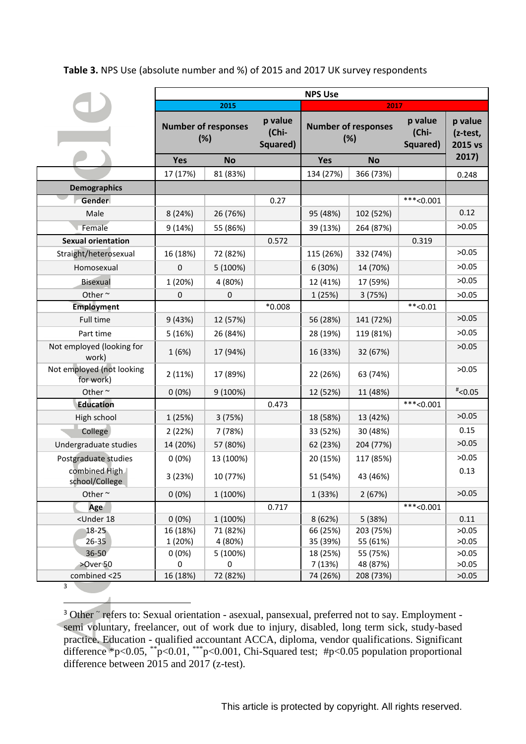# **Table 3.** NPS Use (absolute number and %) of 2015 and 2017 UK survey respondents

|                                                                                                                            | <b>NPS Use</b>                    |                  |                              |                                   |           |                              |                                |  |
|----------------------------------------------------------------------------------------------------------------------------|-----------------------------------|------------------|------------------------------|-----------------------------------|-----------|------------------------------|--------------------------------|--|
|                                                                                                                            | 2015                              |                  |                              | 2017                              |           |                              |                                |  |
|                                                                                                                            | <b>Number of responses</b><br>(%) |                  | p value<br>(Chi-<br>Squared) | <b>Number of responses</b><br>(%) |           | p value<br>(Chi-<br>Squared) | p value<br>(z-test,<br>2015 vs |  |
|                                                                                                                            | Yes                               | <b>No</b>        |                              | Yes                               | <b>No</b> |                              | 2017)                          |  |
|                                                                                                                            | 17 (17%)                          | 81 (83%)         |                              | 134 (27%)                         | 366 (73%) |                              | 0.248                          |  |
| <b>Demographics</b>                                                                                                        |                                   |                  |                              |                                   |           |                              |                                |  |
| Gender                                                                                                                     |                                   |                  | 0.27                         |                                   |           | $***<0.001$                  |                                |  |
| Male                                                                                                                       | 8 (24%)                           | 26 (76%)         |                              | 95 (48%)                          | 102 (52%) |                              | 0.12                           |  |
| Female                                                                                                                     | 9(14%)                            | 55 (86%)         |                              | 39 (13%)                          | 264 (87%) |                              | >0.05                          |  |
| <b>Sexual orientation</b>                                                                                                  |                                   |                  | 0.572                        |                                   |           | 0.319                        |                                |  |
| Straight/heterosexual                                                                                                      | 16 (18%)                          | 72 (82%)         |                              | 115 (26%)                         | 332 (74%) |                              | >0.05                          |  |
| Homosexual                                                                                                                 | 0                                 | 5 (100%)         |                              | 6 (30%)                           | 14 (70%)  |                              | >0.05                          |  |
| <b>Bisexual</b>                                                                                                            | 1 (20%)                           | 4 (80%)          |                              | 12 (41%)                          | 17 (59%)  |                              | >0.05                          |  |
| Other $\sim$                                                                                                               | 0                                 | $\boldsymbol{0}$ |                              | 1 (25%)                           | 3(75%)    |                              | >0.05                          |  |
| <b>Employment</b>                                                                                                          |                                   |                  | $*0.008$                     |                                   |           | $**<0.01$                    |                                |  |
| Full time                                                                                                                  | 9 (43%)                           | 12 (57%)         |                              | 56 (28%)                          | 141 (72%) |                              | >0.05                          |  |
| Part time                                                                                                                  | 5(16%)                            | 26 (84%)         |                              | 28 (19%)                          | 119 (81%) |                              | >0.05                          |  |
| Not employed (looking for<br>work)                                                                                         | 1(6%)                             | 17 (94%)         |                              | 16 (33%)                          | 32 (67%)  |                              | >0.05                          |  |
| Not employed (not looking<br>for work)                                                                                     | 2(11%)                            | 17 (89%)         |                              | 22 (26%)                          | 63 (74%)  |                              | >0.05                          |  |
| Other $\sim$                                                                                                               | $0(0\%)$                          | 9 (100%)         |                              | 12 (52%)                          | 11 (48%)  |                              | $*$ <0.05                      |  |
| <b>Education</b>                                                                                                           |                                   |                  | 0.473                        |                                   |           | $**<0.001$                   |                                |  |
| High school                                                                                                                | 1 (25%)                           | 3(75%)           |                              | 18 (58%)                          | 13 (42%)  |                              | >0.05                          |  |
| College                                                                                                                    | 2(22%)                            | 7 (78%)          |                              | 33 (52%)                          | 30 (48%)  |                              | 0.15                           |  |
| Undergraduate studies                                                                                                      | 14 (20%)                          | 57 (80%)         |                              | 62 (23%)                          | 204 (77%) |                              | >0.05                          |  |
| Postgraduate studies                                                                                                       | 0(0%)                             | 13 (100%)        |                              | 20 (15%)                          | 117 (85%) |                              | >0.05                          |  |
| combined High<br>school/College                                                                                            | 3 (23%)                           | 10 (77%)         |                              | 51 (54%)                          | 43 (46%)  |                              | 0.13                           |  |
| Other $\sim$                                                                                                               | $0(0\%)$                          | 1 (100%)         |                              | 1 (33%)                           | 2(67%)    |                              | >0.05                          |  |
| Age                                                                                                                        |                                   |                  | 0.717                        |                                   |           | $***<0.001$                  |                                |  |
| <under 18<="" td=""><td>0(0%)</td><td>1 (100%)</td><td></td><td>8 (62%)</td><td>5 (38%)</td><td></td><td>0.11</td></under> | 0(0%)                             | 1 (100%)         |                              | 8 (62%)                           | 5 (38%)   |                              | 0.11                           |  |
| $18 - 25$                                                                                                                  | 16 (18%)                          | 71 (82%)         |                              | 66 (25%)                          | 203 (75%) |                              | >0.05                          |  |
| 26-35                                                                                                                      | 1 (20%)                           | 4 (80%)          |                              | 35 (39%)                          | 55 (61%)  |                              | >0.05                          |  |
| 36-50                                                                                                                      | 0(0%)                             | 5 (100%)         |                              | 18 (25%)                          | 55 (75%)  |                              | >0.05                          |  |
| >Over 50                                                                                                                   | 0                                 | $\bf{0}$         |                              | 7 (13%)                           | 48 (87%)  |                              | >0.05                          |  |
| combined <25<br>3                                                                                                          | 16 (18%)                          | 72 (82%)         |                              | 74 (26%)                          | 208 (73%) |                              | >0.05                          |  |

<sup>3</sup> Other ~ refers to: Sexual orientation - asexual, pansexual, preferred not to say. Employment semi voluntary, freelancer, out of work due to injury, disabled, long term sick, study-based practice. Education - qualified accountant ACCA, diploma, vendor qualifications. Significant difference \*p<0.05, \*\*p<0.01, \*\*\*p<0.001, Chi-Squared test; #p<0.05 population proportional difference between 2015 and 2017 (z-test).

-